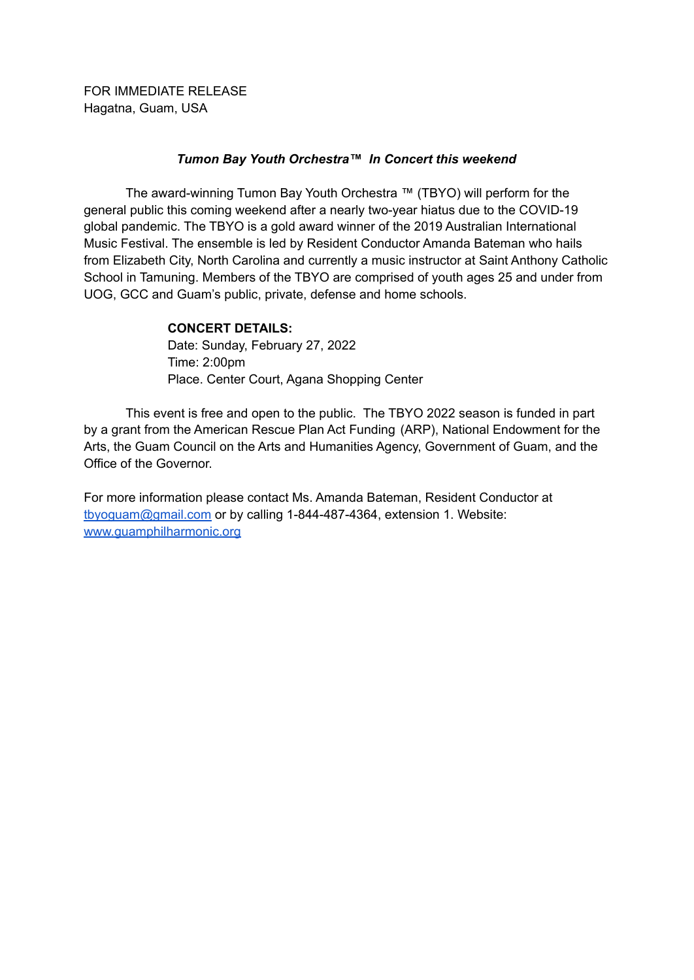FOR IMMEDIATE RELEASE Hagatna, Guam, USA

## *Tumon Bay Youth Orchestra™ In Concert this weekend*

The award-winning Tumon Bay Youth Orchestra ™ (TBYO) will perform for the general public this coming weekend after a nearly two-year hiatus due to the COVID-19 global pandemic. The TBYO is a gold award winner of the 2019 Australian International Music Festival. The ensemble is led by Resident Conductor Amanda Bateman who hails from Elizabeth City, North Carolina and currently a music instructor at Saint Anthony Catholic School in Tamuning. Members of the TBYO are comprised of youth ages 25 and under from UOG, GCC and Guam's public, private, defense and home schools.

## **CONCERT DETAILS:**

Date: Sunday, February 27, 2022 Time: 2:00pm Place. Center Court, Agana Shopping Center

This event is free and open to the public. The TBYO 2022 season is funded in part by a grant from the American Rescue Plan Act Funding (ARP), National Endowment for the Arts, the Guam Council on the Arts and Humanities Agency, Government of Guam, and the Office of the Governor.

For more information please contact Ms. Amanda Bateman, Resident Conductor at [tbyoguam@gmail.com](mailto:tbyoguam@gmail.com) or by calling 1-844-487-4364, extension 1. Website: [www.guamphilharmonic.org](http://www.guamphilharmonic.org)